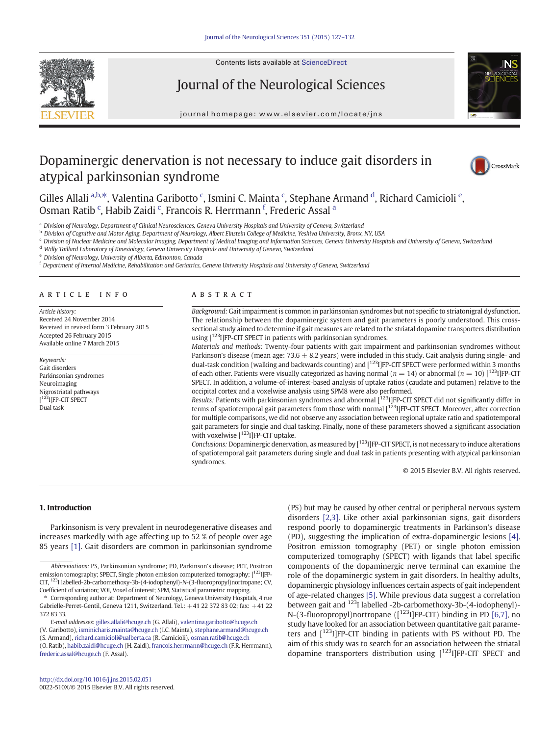

Contents lists available at ScienceDirect

# Journal of the Neurological Sciences

journal homepage:<www.elsevier.com/locate/jns>

## Dopaminergic denervation is not necessary to induce gait disorders in atypical parkinsonian syndrome



Gilles Allali a,b,\*, Valentina Garibotto <sup>c</sup>, Ismini C. Mainta <sup>c</sup>, Stephane Armand <sup>d</sup>, Richard Camicioli <sup>e</sup>, Osman Ratib <sup>c</sup>, Habib Zaidi <sup>c</sup>, Francois R. Herrmann <sup>f</sup>, Frederic Assal <sup>a</sup>

a Division of Neurology, Department of Clinical Neurosciences, Geneva University Hospitals and University of Geneva, Switzerland

**b Division of Cognitive and Motor Aging, Department of Neurology, Albert Einstein College of Medicine, Yeshiva University, Bronx, NY, USA** 

<sup>c</sup> Division of Nuclear Medicine and Molecular Imaging, Department of Medical Imaging and Information Sciences, Geneva University Hospitals and University of Geneva, Switzerland

<sup>d</sup> Willy Taillard Laboratory of Kinesiology, Geneva University Hospitals and University of Geneva, Switzerland

<sup>e</sup> Division of Neurology, University of Alberta, Edmonton, Canada

<sup>f</sup> Department of Internal Medicine, Rehabilitation and Geriatrics, Geneva University Hospitals and University of Geneva, Switzerland

#### article info abstract

Article history: Received 24 November 2014 Received in revised form 3 February 2015 Accepted 26 February 2015 Available online 7 March 2015

Keywords: Gait disorders Parkinsonian syndromes Neuroimaging Nigrostriatal pathways [<sup>123</sup>I]FP-CIT SPECT Dual task

Background: Gait impairment is common in parkinsonian syndromes but not specific to striatonigral dysfunction. The relationship between the dopaminergic system and gait parameters is poorly understood. This crosssectional study aimed to determine if gait measures are related to the striatal dopamine transporters distribution using [123I]FP-CIT SPECT in patients with parkinsonian syndromes.

Materials and methods: Twenty-four patients with gait impairment and parkinsonian syndromes without Parkinson's disease (mean age:  $73.6 \pm 8.2$  years) were included in this study. Gait analysis during single- and dual-task condition (walking and backwards counting) and [<sup>123</sup>][FP-CIT SPECT were performed within 3 months of each other. Patients were visually categorized as having normal ( $n = 14$ ) or abnormal ( $n = 10$ ) [<sup>123</sup>][FP-CIT SPECT. In addition, a volume-of-interest-based analysis of uptake ratios (caudate and putamen) relative to the occipital cortex and a voxelwise analysis using SPM8 were also performed.

Results: Patients with parkinsonian syndromes and abnormal [123] [FP-CIT SPECT did not significantly differ in terms of spatiotemporal gait parameters from those with normal [123I]FP-CIT SPECT. Moreover, after correction for multiple comparisons, we did not observe any association between regional uptake ratio and spatiotemporal gait parameters for single and dual tasking. Finally, none of these parameters showed a significant association with voxelwise  $[$ <sup>123</sup>I]FP-CIT uptake.

Conclusions: Dopaminergic denervation, as measured by  $[1^{23}]$  FP-CIT SPECT, is not necessary to induce alterations of spatiotemporal gait parameters during single and dual task in patients presenting with atypical parkinsonian syndromes.

© 2015 Elsevier B.V. All rights reserved.

#### 1. Introduction

Parkinsonism is very prevalent in neurodegenerative diseases and increases markedly with age affecting up to 52 % of people over age 85 years [\[1\]](#page-5-0). Gait disorders are common in parkinsonian syndrome

(V. Garibotto), [isminicharis.mainta@hcuge.ch](mailto:isminicharis.mainta@hcuge.ch) (I.C. Mainta), [stephane.armand@hcuge.ch](mailto:stephane.armand@hcuge.ch)

(S. Armand), [richard.camicioli@ualberta.ca](mailto:richard.camicioli@ualberta.ca) (R. Camicioli), [osman.ratib@hcuge.ch](mailto:osman.ratib@hcuge.ch)

(PS) but may be caused by other central or peripheral nervous system disorders [\[2,3\]](#page-5-0). Like other axial parkinsonian signs, gait disorders respond poorly to dopaminergic treatments in Parkinson's disease (PD), suggesting the implication of extra-dopaminergic lesions [\[4\].](#page-5-0) Positron emission tomography (PET) or single photon emission computerized tomography (SPECT) with ligands that label specific components of the dopaminergic nerve terminal can examine the role of the dopaminergic system in gait disorders. In healthy adults, dopaminergic physiology influences certain aspects of gait independent of age-related changes [\[5\]](#page-5-0). While previous data suggest a correlation between gait and <sup>123</sup>I labelled -2b-carbomethoxy-3b-(4-iodophenyl)-N-(3-fluoropropyl)nortropane ([<sup>123</sup>I]FP-CIT) binding in PD [\[6,7\],](#page-5-0) no study have looked for an association between quantitative gait parameters and [123I]FP-CIT binding in patients with PS without PD. The aim of this study was to search for an association between the striatal dopamine transporters distribution using [<sup>123</sup>I]FP-CIT SPECT and

Abbreviations: PS, Parkinsonian syndrome; PD, Parkinson's disease; PET, Positron emission tomography; SPECT, Single photon emission computerized tomography; [<sup>123</sup>][FP-CIT, 123I labelled-2b-carbomethoxy-3b-(4-iodophenyl)-N-(3-fluoropropyl)nortropane; CV, Coefficient of variation; VOI, Voxel of interest; SPM, Statistical parametric mapping.

Corresponding author at: Department of Neurology, Geneva University Hospitals, 4 rue Gabrielle-Perret-Gentil, Geneva 1211, Switzerland. Tel.: +41 22 372 83 02; fax: +41 22 372 83 33.

E-mail addresses: [gilles.allali@hcuge.ch](mailto:gilles.allali@hcuge.ch) (G. Allali), [valentina.garibotto@hcuge.ch](mailto:valentina.garibotto@hcuge.ch)

<sup>(</sup>O. Ratib), [habib.zaidi@hcuge.ch](mailto:habib.zaidi@hcuge.ch) (H. Zaidi), [francois.herrmann@hcuge.ch](mailto:francois.herrmann@hcuge.ch) (F.R. Herrmann), [frederic.assal@hcuge.ch](mailto:frederic.assal@hcuge.ch) (F. Assal).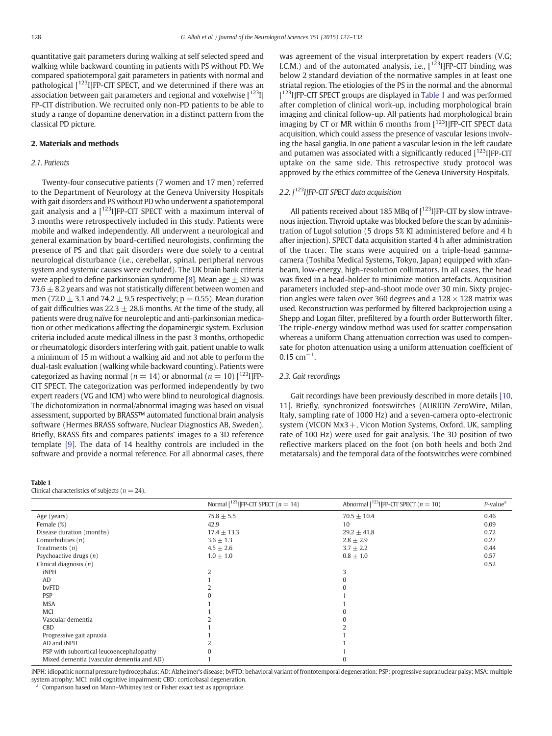<span id="page-1-0"></span>quantitative gait parameters during walking at self selected speed and walking while backward counting in patients with PS without PD. We compared spatiotemporal gait parameters in patients with normal and pathological  $[123]$  [FP-CIT SPECT, and we determined if there was an association between gait parameters and regional and voxelwise  $[1^{123}]$ FP-CIT distribution. We recruited only non-PD patients to be able to study a range of dopamine denervation in a distinct pattern from the classical PD picture.

#### 2. Materials and methods

#### 2.1. Patients

Twenty-four consecutive patients (7 women and 17 men) referred to the Department of Neurology at the Geneva University Hospitals with gait disorders and PS without PD who underwent a spatiotemporal gait analysis and a  $[$ <sup>123</sup>I]FP-CIT SPECT with a maximum interval of 3 months were retrospectively included in this study. Patients were mobile and walked independently. All underwent a neurological and general examination by board-certified neurologists, confirming the presence of PS and that gait disorders were due solely to a central neurological disturbance (i.e., cerebellar, spinal, peripheral nervous system and systemic causes were excluded). The UK brain bank criteria were applied to define parkinsonian syndrome [\[8\]](#page-5-0). Mean age  $\pm$  SD was 73.6  $\pm$  8.2 years and was not statistically different between women and men (72.0  $\pm$  3.1 and 74.2  $\pm$  9.5 respectively; p = 0.55). Mean duration of gait difficulties was  $22.3 \pm 28.6$  months. At the time of the study, all patients were drug naïve for neuroleptic and anti-parkinsonian medication or other medications affecting the dopaminergic system. Exclusion criteria included acute medical illness in the past 3 months, orthopedic or rheumatologic disorders interfering with gait, patient unable to walk a minimum of 15 m without a walking aid and not able to perform the dual-task evaluation (walking while backward counting). Patients were categorized as having normal ( $n = 14$ ) or abnormal ( $n = 10$ ) [<sup>123</sup>I]FP-CIT SPECT. The categorization was performed independently by two expert readers (VG and ICM) who were blind to neurological diagnosis. The dichotomization in normal/abnormal imaging was based on visual assessment, supported by BRASS™ automated functional brain analysis software (Hermes BRASS software, Nuclear Diagnostics AB, Sweden). Briefly, BRASS fits and compares patients' images to a 3D reference template [\[9\].](#page-5-0) The data of 14 healthy controls are included in the software and provide a normal reference. For all abnormal cases, there

#### Table 1

Clinical characteristics of subjects ( $n = 24$ ).

was agreement of the visual interpretation by expert readers (V.G; I.C.M.) and of the automated analysis, i.e.,  $[1^{123}]$  FP-CIT binding was below 2 standard deviation of the normative samples in at least one striatal region. The etiologies of the PS in the normal and the abnormal [<sup>123</sup>I]FP-CIT SPECT groups are displayed in Table 1 and was performed after completion of clinical work-up, including morphological brain imaging and clinical follow-up. All patients had morphological brain imaging by CT or MR within 6 months from [<sup>123</sup>I]FP-CIT SPECT data acquisition, which could assess the presence of vascular lesions involving the basal ganglia. In one patient a vascular lesion in the left caudate and putamen was associated with a significantly reduced  $[1^{123}]$  FP-CIT uptake on the same side. This retrospective study protocol was approved by the ethics committee of the Geneva University Hospitals.

### 2.2.  $[$ <sup>123</sup>I]FP-CIT SPECT data acquisition

All patients received about 185 MBq of  $[123]$  |FP-CIT by slow intravenous injection. Thyroid uptake was blocked before the scan by administration of Lugol solution (5 drops 5% KI administered before and 4 h after injection). SPECT data acquisition started 4 h after administration of the tracer. The scans were acquired on a triple-head gammacamera (Toshiba Medical Systems, Tokyo, Japan) equipped with xfanbeam, low-energy, high-resolution collimators. In all cases, the head was fixed in a head-holder to minimize motion artefacts. Acquisition parameters included step-and-shoot mode over 30 min. Sixty projection angles were taken over 360 degrees and a  $128 \times 128$  matrix was used. Reconstruction was performed by filtered backprojection using a Shepp and Logan filter, prefiltered by a fourth order Butterworth filter. The triple-energy window method was used for scatter compensation whereas a uniform Chang attenuation correction was used to compensate for photon attenuation using a uniform attenuation coefficient of  $0.15$  cm<sup>-1</sup>.

#### 2.3. Gait recordings

Gait recordings have been previously described in more details [\[10,](#page-5-0) [11\].](#page-5-0) Briefly, synchronized footswitches (AURION ZeroWire, Milan, Italy, sampling rate of 1000 Hz) and a seven-camera opto-electronic system (VICON  $Mx3 +$ , Vicon Motion Systems, Oxford, UK, sampling rate of 100 Hz) were used for gait analysis. The 3D position of two reflective markers placed on the foot (on both heels and both 2nd metatarsals) and the temporal data of the footswitches were combined

|                                           | Normal $\lceil^{123} \rceil$ FP-CIT SPECT $(n = 14)$ | Abnormal $\lceil^{123} \rceil$ FP-CIT SPECT $(n = 10)$ | $P$ -value <sup><math>a</math></sup> |
|-------------------------------------------|------------------------------------------------------|--------------------------------------------------------|--------------------------------------|
| Age (years)                               | $75.8 \pm 5.5$                                       | $70.5 \pm 10.4$                                        | 0.46                                 |
| Female (%)                                | 42.9                                                 | 10                                                     | 0.09                                 |
| Disease duration (months)                 | $17.4 \pm 13.3$                                      | $29.2 \pm 41.8$                                        | 0.72                                 |
| Comorbidities $(n)$                       | $3.6 \pm 1.3$                                        | $2.8 \pm 2.9$                                          | 0.27                                 |
| Treatments $(n)$                          | $4.5 \pm 2.6$                                        | $3.7 \pm 2.2$                                          | 0.44                                 |
| Psychoactive drugs $(n)$                  | $1.0 \pm 1.0$                                        | $0.8 \pm 1.0$                                          | 0.57                                 |
| Clinical diagnosis $(n)$                  |                                                      |                                                        | 0.52                                 |
| iNPH                                      |                                                      |                                                        |                                      |
| AD                                        |                                                      |                                                        |                                      |
| bvFTD                                     |                                                      |                                                        |                                      |
| <b>PSP</b>                                |                                                      |                                                        |                                      |
| <b>MSA</b>                                |                                                      |                                                        |                                      |
| <b>MCI</b>                                |                                                      |                                                        |                                      |
| Vascular dementia                         |                                                      |                                                        |                                      |
| CBD                                       |                                                      |                                                        |                                      |
| Progressive gait apraxia                  |                                                      |                                                        |                                      |
| AD and iNPH                               |                                                      |                                                        |                                      |
| PSP with subcortical leucoencephalopathy  |                                                      |                                                        |                                      |
| Mixed dementia (vascular dementia and AD) |                                                      |                                                        |                                      |

iNPH: idiopathic normal pressure hydrocephalus; AD: Alzheimer's disease; bvFTD: behavioral variant of frontotemporal degeneration; PSP: progressive supranuclear palsy; MSA: multiple system atrophy; MCI: mild cognitive impairment; CBD: corticobasal degeneration.

Comparison based on Mann–Whitney test or Fisher exact test as appropriate.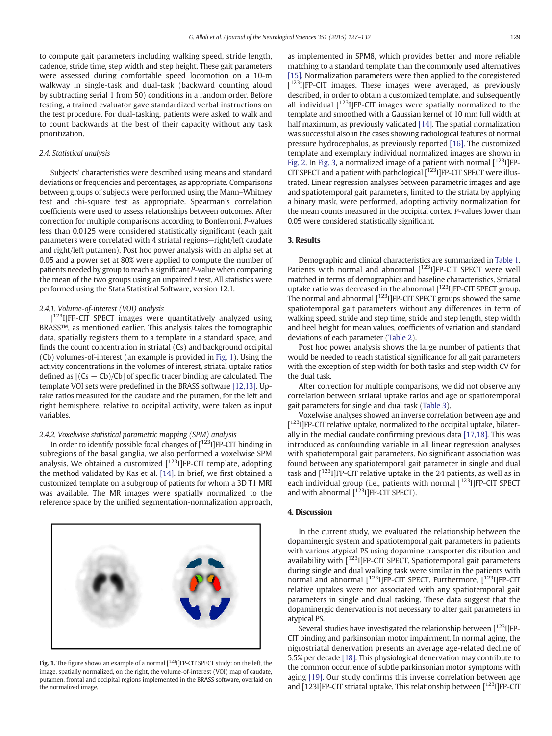to compute gait parameters including walking speed, stride length, cadence, stride time, step width and step height. These gait parameters were assessed during comfortable speed locomotion on a 10-m walkway in single-task and dual-task (backward counting aloud by subtracting serial 1 from 50) conditions in a random order. Before testing, a trained evaluator gave standardized verbal instructions on the test procedure. For dual-tasking, patients were asked to walk and to count backwards at the best of their capacity without any task prioritization.

#### 2.4. Statistical analysis

Subjects' characteristics were described using means and standard deviations or frequencies and percentages, as appropriate. Comparisons between groups of subjects were performed using the Mann–Whitney test and chi-square test as appropriate. Spearman's correlation coefficients were used to assess relationships between outcomes. After correction for multiple comparisons according to Bonferroni, P-values less than 0.0125 were considered statistically significant (each gait parameters were correlated with 4 striatal regions—right/left caudate and right/left putamen). Post hoc power analysis with an alpha set at 0.05 and a power set at 80% were applied to compute the number of patients needed by group to reach a significant P-value when comparing the mean of the two groups using an unpaired t test. All statistics were performed using the Stata Statistical Software, version 12.1.

#### 2.4.1. Volume-of-interest (VOI) analysis

[<sup>123</sup>I]FP-CIT SPECT images were quantitatively analyzed using BRASS™, as mentioned earlier. This analysis takes the tomographic data, spatially registers them to a template in a standard space, and finds the count concentration in striatal (Cs) and background occipital (Cb) volumes-of-interest (an example is provided in Fig. 1). Using the activity concentrations in the volumes of interest, striatal uptake ratios defined as  $[(Cs - Cb)/Cb]$  of specific tracer binding are calculated. The template VOI sets were predefined in the BRASS software [\[12,13\]](#page-5-0). Uptake ratios measured for the caudate and the putamen, for the left and right hemisphere, relative to occipital activity, were taken as input variables.

#### 2.4.2. Voxelwise statistical parametric mapping (SPM) analysis

In order to identify possible focal changes of  $[1^{23}]$  [FP-CIT binding in subregions of the basal ganglia, we also performed a voxelwise SPM analysis. We obtained a customized  $[1^{123}]$  [FP-CIT template, adopting the method validated by Kas et al. [\[14\].](#page-5-0) In brief, we first obtained a customized template on a subgroup of patients for whom a 3D T1 MRI was available. The MR images were spatially normalized to the reference space by the unified segmentation-normalization approach,



Fig. 1. The figure shows an example of a normal  $[1^{23}]$  FP-CIT SPECT study: on the left, the image, spatially normalized, on the right, the volume-of-interest (VOI) map of caudate, putamen, frontal and occipital regions implemented in the BRASS software, overlaid on the normalized image.

as implemented in SPM8, which provides better and more reliable matching to a standard template than the commonly used alternatives [\[15\]](#page-5-0). Normalization parameters were then applied to the coregistered [<sup>123</sup>I]FP-CIT images. These images were averaged, as previously described, in order to obtain a customized template, and subsequently all individual [123I]FP-CIT images were spatially normalized to the template and smoothed with a Gaussian kernel of 10 mm full width at half maximum, as previously validated [\[14\]](#page-5-0). The spatial normalization was successful also in the cases showing radiological features of normal pressure hydrocephalus, as previously reported [\[16\]](#page-5-0). The customized template and exemplary individual normalized images are shown in [Fig. 2.](#page-3-0) In [Fig. 3](#page-3-0), a normalized image of a patient with normal  $[123]$  [FP-CIT SPECT and a patient with pathological [<sup>123</sup>] [FP-CIT SPECT were illustrated. Linear regression analyses between parametric images and age and spatiotemporal gait parameters, limited to the striata by applying a binary mask, were performed, adopting activity normalization for the mean counts measured in the occipital cortex. P-values lower than 0.05 were considered statistically significant.

## 3. Results

Demographic and clinical characteristics are summarized in [Table 1.](#page-1-0) Patients with normal and abnormal [<sup>123</sup>I]FP-CIT SPECT were well matched in terms of demographics and baseline characteristics. Striatal uptake ratio was decreased in the abnormal  $[1^{23}]$  [FP-CIT SPECT group. The normal and abnormal [123I]FP-CIT SPECT groups showed the same spatiotemporal gait parameters without any differences in term of walking speed, stride and step time, stride and step length, step width and heel height for mean values, coefficients of variation and standard deviations of each parameter [\(Table 2\)](#page-4-0).

Post hoc power analysis shows the large number of patients that would be needed to reach statistical significance for all gait parameters with the exception of step width for both tasks and step width CV for the dual task.

After correction for multiple comparisons, we did not observe any correlation between striatal uptake ratios and age or spatiotemporal gait parameters for single and dual task [\(Table 3\)](#page-4-0).

Voxelwise analyses showed an inverse correlation between age and [<sup>123</sup>I]FP-CIT relative uptake, normalized to the occipital uptake, bilaterally in the medial caudate confirming previous data [\[17,18\].](#page-5-0) This was introduced as confounding variable in all linear regression analyses with spatiotemporal gait parameters. No significant association was found between any spatiotemporal gait parameter in single and dual task and  $\lceil^{123} \rceil$ FP-CIT relative uptake in the 24 patients, as well as in each individual group (i.e., patients with normal  $[123]$ ]FP-CIT SPECT and with abnormal  $[1^{23}]$  [FP-CIT SPECT).

#### 4. Discussion

In the current study, we evaluated the relationship between the dopaminergic system and spatiotemporal gait parameters in patients with various atypical PS using dopamine transporter distribution and availability with [<sup>123</sup>I]FP-CIT SPECT. Spatiotemporal gait parameters during single and dual walking task were similar in the patients with normal and abnormal [<sup>123</sup>]JFP-CIT SPECT. Furthermore, [<sup>123</sup>]JFP-CIT relative uptakes were not associated with any spatiotemporal gait parameters in single and dual tasking. These data suggest that the dopaminergic denervation is not necessary to alter gait parameters in atypical PS.

Several studies have investigated the relationship between  $[123]$  [FP-CIT binding and parkinsonian motor impairment. In normal aging, the nigrostriatal denervation presents an average age-related decline of 5.5% per decade [\[18\].](#page-5-0) This physiological denervation may contribute to the common occurrence of subtle parkinsonian motor symptoms with aging [\[19\]](#page-5-0). Our study confirms this inverse correlation between age and [123I]FP-CIT striatal uptake. This relationship between [<sup>123</sup>I]FP-CIT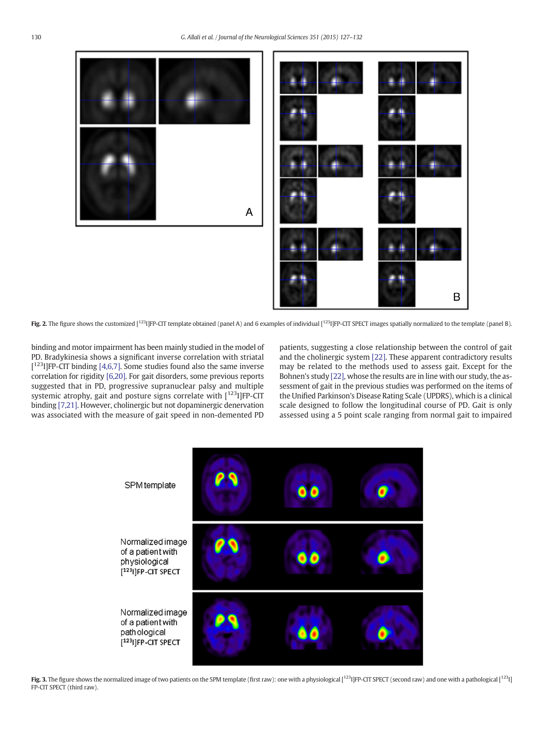<span id="page-3-0"></span>

Fig. 2. The figure shows the customized  $[1^{123}]$ FP-CIT template obtained (panel A) and 6 examples of individual  $[1^{123}]$ FP-CIT SPECT images spatially normalized to the template (panel B).

binding and motor impairment has been mainly studied in the model of PD. Bradykinesia shows a significant inverse correlation with striatal  $[1^{123}]$  FP-CIT binding [\[4,6,7\].](#page-5-0) Some studies found also the same inverse correlation for rigidity [\[6,20\]](#page-5-0). For gait disorders, some previous reports suggested that in PD, progressive supranuclear palsy and multiple systemic atrophy, gait and posture signs correlate with  $[123]$  [FP-CIT binding [\[7,21\]](#page-5-0). However, cholinergic but not dopaminergic denervation was associated with the measure of gait speed in non-demented PD

patients, suggesting a close relationship between the control of gait and the cholinergic system [\[22\]](#page-5-0). These apparent contradictory results may be related to the methods used to assess gait. Except for the Bohnen's study [\[22\]](#page-5-0), whose the results are in line with our study, the assessment of gait in the previous studies was performed on the items of the Unified Parkinson's Disease Rating Scale (UPDRS), which is a clinical scale designed to follow the longitudinal course of PD. Gait is only assessed using a 5 point scale ranging from normal gait to impaired



Fig. 3. The figure shows the normalized image of two patients on the SPM template (first raw): one with a physiological  $[1^{23}$ ]FP-CIT SPECT (second raw) and one with a pathological  $[1^{23}$ ] FP-CIT SPECT (third raw).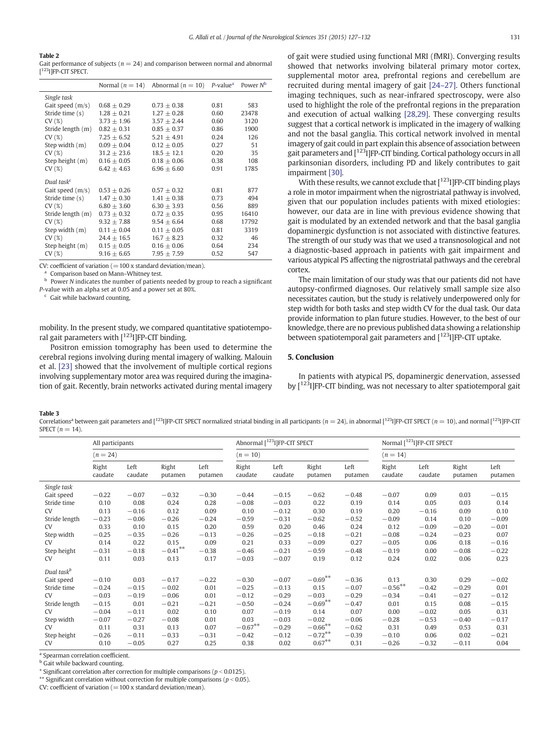#### <span id="page-4-0"></span>Table 2

Gait performance of subjects ( $n = 24$ ) and comparison between normal and abnormal [<sup>123</sup>I]FP-CIT SPECT.

|                        | Normal $(n = 14)$ | Abnormal ( $n = 10$ ) P-value <sup>a</sup> Power N <sup>b</sup> |      |       |
|------------------------|-------------------|-----------------------------------------------------------------|------|-------|
| Single task            |                   |                                                                 |      |       |
| Gait speed $(m/s)$     | $0.68 + 0.29$     | $0.73 \pm 0.38$                                                 | 0.81 | 583   |
| Stride time (s)        | $1.28 \pm 0.21$   | $1.27 + 0.28$                                                   | 0.60 | 23478 |
| CV(%)                  | $3.73 \pm 1.96$   | $3.57 \pm 2.44$                                                 | 0.60 | 3120  |
| Stride length (m)      | $0.82 \pm 0.31$   | $0.85 \pm 0.37$                                                 | 0.86 | 1900  |
| CV(%)                  | $7.25 + 6.52$     | $5.21 + 4.91$                                                   | 0.24 | 126   |
| Step width (m)         | $0.09 \pm 0.04$   | $0.12 + 0.05$                                                   | 0.27 | 51    |
| CV(%)                  | $31.2 \pm 23.6$   | $18.5 + 12.1$                                                   | 0.20 | 35    |
| Step height (m)        | $0.16 + 0.05$     | $0.18 + 0.06$                                                   | 0.38 | 108   |
| CV(%)                  | $6.42 \pm 4.63$   | $6.96 \pm 6.60$                                                 | 0.91 | 1785  |
| Dual task <sup>c</sup> |                   |                                                                 |      |       |
| Gait speed $(m/s)$     | $0.53 + 0.26$     | $0.57 + 0.32$                                                   | 0.81 | 877   |
| Stride time (s)        | $1.47 \pm 0.30$   | $1.41 + 0.38$                                                   | 0.73 | 494   |
| CV(%)                  | $6.80 \pm 3.60$   | $6.30 \pm 3.93$                                                 | 0.56 | 889   |
| Stride length (m)      | $0.73 \pm 0.32$   | $0.72 + 0.35$                                                   | 0.95 | 16410 |
| CV(%)                  | $9.32 + 7.88$     | $9.54 + 6.64$                                                   | 0.68 | 17792 |
| Step width (m)         | $0.11 + 0.04$     | $0.11 + 0.05$                                                   | 0.81 | 3319  |
| CV(%)                  | $24.4 \pm 16.5$   | $16.7 \pm 8.23$                                                 | 0.32 | 46    |
| Step height (m)        | $0.15 \pm 0.05$   | $0.16 \pm 0.06$                                                 | 0.64 | 234   |
| CV(%)                  | $9.16 + 6.65$     | $7.95 + 7.59$                                                   | 0.52 | 547   |

CV: coefficient of variation  $(=100 \times$  standard deviation/mean).

<sup>a</sup> Comparison based on Mann–Whitney test.

Power N indicates the number of patients needed by group to reach a significant P-value with an alpha set at 0.05 and a power set at 80%.

 $c$  Gait while backward counting.

mobility. In the present study, we compared quantitative spatiotemporal gait parameters with  $[123]$  [FP-CIT binding.

Positron emission tomography has been used to determine the cerebral regions involving during mental imagery of walking. Malouin et al. [\[23\]](#page-5-0) showed that the involvement of multiple cortical regions involving supplementary motor area was required during the imagination of gait. Recently, brain networks activated during mental imagery of gait were studied using functional MRI (fMRI). Converging results showed that networks involving bilateral primary motor cortex, supplemental motor area, prefrontal regions and cerebellum are recruited during mental imagery of gait [24–[27\].](#page-5-0) Others functional imaging techniques, such as near-infrared spectroscopy, were also used to highlight the role of the prefrontal regions in the preparation and execution of actual walking [\[28,29\]](#page-5-0). These converging results suggest that a cortical network is implicated in the imagery of walking and not the basal ganglia. This cortical network involved in mental imagery of gait could in part explain this absence of association between gait parameters and  $\left[1^{123}\right]$  [FP-CIT binding. Cortical pathology occurs in all parkinsonian disorders, including PD and likely contributes to gait impairment [\[30\]](#page-5-0).

With these results, we cannot exclude that  $[1^{23}$ HFP-CIT binding plays a role in motor impairment when the nigrostriatal pathway is involved, given that our population includes patients with mixed etiologies: however, our data are in line with previous evidence showing that gait is modulated by an extended network and that the basal ganglia dopaminergic dysfunction is not associated with distinctive features. The strength of our study was that we used a transnosological and not a diagnostic-based approach in patients with gait impairment and various atypical PS affecting the nigrostriatal pathways and the cerebral cortex.

The main limitation of our study was that our patients did not have autopsy-confirmed diagnoses. Our relatively small sample size also necessitates caution, but the study is relatively underpowered only for step width for both tasks and step width CV for the dual task. Our data provide information to plan future studies. However, to the best of our knowledge, there are no previous published data showing a relationship between spatiotemporal gait parameters and  $[123]$  [FP-CIT uptake.

#### 5. Conclusion

In patients with atypical PS, dopaminergic denervation, assessed by  $\lceil^{123}$ I]FP-CIT binding, was not necessary to alter spatiotemporal gait

#### Table 3

Correlations<sup>a</sup> between gait parameters and [<sup>123</sup>]JFP-CIT SPECT normalized striatal binding in all participants ( $n = 24$ ), in abnormal [<sup>123</sup>]JFP-CIT SPECT ( $n = 10$ ), and normal [<sup>123</sup>]JFP-CIT SPECT  $(n = 14)$ .

|                        | All participants<br>$(n = 24)$ |                 |                  | Abnormal [ <sup>123</sup> I]FP-CIT SPECT<br>$(n = 10)$ |                  |                 | Normal [ <sup>123</sup> I]FP-CIT SPECT<br>$(n = 14)$ |                 |                  |                 |                  |                 |
|------------------------|--------------------------------|-----------------|------------------|--------------------------------------------------------|------------------|-----------------|------------------------------------------------------|-----------------|------------------|-----------------|------------------|-----------------|
|                        |                                |                 |                  |                                                        |                  |                 |                                                      |                 |                  |                 |                  |                 |
|                        | Right<br>caudate               | Left<br>caudate | Right<br>putamen | Left<br>putamen                                        | Right<br>caudate | Left<br>caudate | Right<br>putamen                                     | Left<br>putamen | Right<br>caudate | Left<br>caudate | Right<br>putamen | Left<br>putamen |
| Single task            |                                |                 |                  |                                                        |                  |                 |                                                      |                 |                  |                 |                  |                 |
| Gait speed             | $-0.22$                        | $-0.07$         | $-0.32$          | $-0.30$                                                | $-0.44$          | $-0.15$         | $-0.62$                                              | $-0.48$         | $-0.07$          | 0.09            | 0.03             | $-0.15$         |
| Stride time            | 0.10                           | 0.08            | 0.24             | 0.28                                                   | $-0.08$          | $-0.03$         | 0.22                                                 | 0.19            | 0.14             | 0.05            | 0.03             | 0.14            |
| <b>CV</b>              | 0.13                           | $-0.16$         | 0.12             | 0.09                                                   | 0.10             | $-0.12$         | 0.30                                                 | 0.19            | 0.20             | $-0.16$         | 0.09             | 0.10            |
| Stride length          | $-0.23$                        | $-0.06$         | $-0.26$          | $-0.24$                                                | $-0.59$          | $-0.31$         | $-0.62$                                              | $-0.52$         | $-0.09$          | 0.14            | 0.10             | $-0.09$         |
| <b>CV</b>              | 0.33                           | 0.10            | 0.15             | 0.20                                                   | 0.59             | 0.20            | 0.46                                                 | 0.24            | 0.12             | $-0.09$         | $-0.20$          | $-0.01$         |
| Step width             | $-0.25$                        | $-0.35$         | $-0.26$          | $-0.13$                                                | $-0.26$          | $-0.25$         | $-0.18$                                              | $-0.21$         | $-0.08$          | $-0.24$         | $-0.23$          | 0.07            |
| <b>CV</b>              | 0.14                           | 0.22            | 0.15             | 0.09                                                   | 0.21             | 0.33            | $-0.09$                                              | 0.27            | $-0.05$          | 0.06            | 0.18             | $-0.16$         |
| Step height            | $-0.31$                        | $-0.18$         | $-0.41***$       | $-0.38$                                                | $-0.46$          | $-0.21$         | $-0.59$                                              | $-0.48$         | $-0.19$          | 0.00            | $-0.08$          | $-0.22$         |
| CV.                    | 0.11                           | 0.03            | 0.13             | 0.17                                                   | $-0.03$          | $-0.07$         | 0.19                                                 | 0.12            | 0.24             | 0.02            | 0.06             | 0.23            |
| Dual task <sup>b</sup> |                                |                 |                  |                                                        |                  |                 |                                                      |                 |                  |                 |                  |                 |
| Gait speed             | $-0.10$                        | 0.03            | $-0.17$          | $-0.22$                                                | $-0.30$          | $-0.07$         | $-0.69***$                                           | $-0.36$         | 0.13             | 0.30            | 0.29             | $-0.02$         |
| Stride time            | $-0.24$                        | $-0.15$         | $-0.02$          | 0.01                                                   | $-0.25$          | $-0.13$         | 0.15                                                 | $-0.07$         | $-0.56***$       | $-0.42$         | $-0.29$          | 0.01            |
| <b>CV</b>              | $-0.03$                        | $-0.19$         | $-0.06$          | 0.01                                                   | $-0.12$          | $-0.29$         | $-0.03$                                              | $-0.29$         | $-0.34$          | $-0.41$         | $-0.27$          | $-0.12$         |
| Stride length          | $-0.15$                        | 0.01            | $-0.21$          | $-0.21$                                                | $-0.50$          | $-0.24$         | $-0.69***$                                           | $-0.47$         | 0.01             | 0.15            | 0.08             | $-0.15$         |
| <b>CV</b>              | $-0.04$                        | $-0.11$         | 0.02             | 0.10                                                   | 0.07             | $-0.19$         | 0.14                                                 | 0.07            | 0.00             | $-0.02$         | 0.05             | 0.31            |
| Step width             | $-0.07$                        | $-0.27$         | $-0.08$          | 0.01                                                   | 0.03             | $-0.03$         | $-0.02$                                              | $-0.06$         | $-0.28$          | $-0.53$         | $-0.40$          | $-0.17$         |
| <b>CV</b>              | 0.11                           | 0.31            | 0.13             | 0.07                                                   | $-0.67***$       | $-0.29$         | $-0.66^{\ast\ast}$                                   | $-0.62$         | 0.31             | 0.49            | 0.53             | 0.31            |
| Step height            | $-0.26$                        | $-0.11$         | $-0.33$          | $-0.31$                                                | $-0.42$          | $-0.12$         | $-0.72***$                                           | $-0.39$         | $-0.10$          | 0.06            | 0.02             | $-0.21$         |
| <b>CV</b>              | 0.10                           | $-0.05$         | 0.27             | 0.25                                                   | 0.38             | 0.02            | $0.67***$                                            | 0.31            | $-0.26$          | $-0.32$         | $-0.11$          | 0.04            |

<sup>a</sup> Spearman correlation coefficient.

**b** Gait while backward counting.

\* Significant correlation after correction for multiple comparisons ( $p < 0.0125$ ).

\*\* Significant correlation without correction for multiple comparisons ( $p < 0.05$ ).

CV: coefficient of variation  $(=100 \times$  standard deviation/mean).